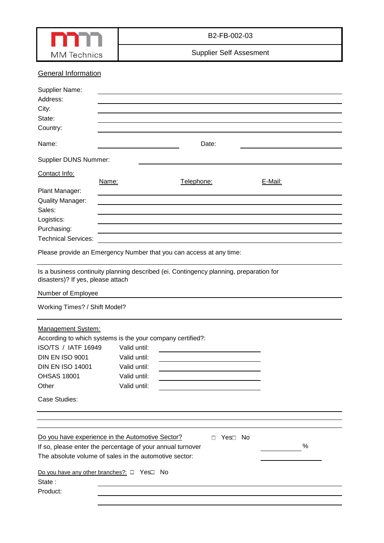

B2-FB-002-03

Supplier Self Assesment

# **General Information**

| Supplier Name:<br>Address:<br>City:<br>State:<br>Country:<br>Name:                                                                                                                                 |                                                                              | Date:                                                                                                                   |         |  |
|----------------------------------------------------------------------------------------------------------------------------------------------------------------------------------------------------|------------------------------------------------------------------------------|-------------------------------------------------------------------------------------------------------------------------|---------|--|
|                                                                                                                                                                                                    |                                                                              |                                                                                                                         |         |  |
| <b>Supplier DUNS Nummer:</b>                                                                                                                                                                       |                                                                              |                                                                                                                         |         |  |
| Contact Info:<br>Plant Manager:                                                                                                                                                                    | Name:                                                                        | Telephone:                                                                                                              | E-Mail: |  |
| <b>Quality Manager:</b>                                                                                                                                                                            |                                                                              |                                                                                                                         |         |  |
| Sales:                                                                                                                                                                                             |                                                                              |                                                                                                                         |         |  |
| Logistics:<br>Purchasing:                                                                                                                                                                          |                                                                              |                                                                                                                         |         |  |
| <b>Technical Services:</b>                                                                                                                                                                         |                                                                              | the control of the control of the control of the control of the control of the control of the control of the control of |         |  |
|                                                                                                                                                                                                    |                                                                              | Please provide an Emergency Number that you can access at any time:                                                     |         |  |
| disasters)? If yes, please attach                                                                                                                                                                  |                                                                              | Is a business continuity planning described (ei. Contingency planning, preparation for                                  |         |  |
| Number of Employee                                                                                                                                                                                 |                                                                              |                                                                                                                         |         |  |
| Working Times? / Shift Model?                                                                                                                                                                      |                                                                              |                                                                                                                         |         |  |
| <b>Management System:</b><br>According to which systems is the your company certified?:<br>ISO/TS / IATF 16949<br><b>DIN EN ISO 9001</b><br><b>DIN EN ISO 14001</b><br><b>OHSAS 18001</b><br>Other | Valid until:<br>Valid until:<br>Valid until:<br>Valid until:<br>Valid until: |                                                                                                                         |         |  |
| Case Studies:                                                                                                                                                                                      |                                                                              |                                                                                                                         |         |  |
|                                                                                                                                                                                                    |                                                                              |                                                                                                                         |         |  |
| Do you have experience in the Automotive Sector?<br>If so, please enter the percentage of your annual turnover<br>The absolute volume of sales in the automotive sector:                           |                                                                              | Yes <sup>I</sup> No<br>П                                                                                                | %       |  |
| Do you have any other branches?: □ Yes□ No<br>State:<br>Product:                                                                                                                                   |                                                                              |                                                                                                                         |         |  |
|                                                                                                                                                                                                    |                                                                              |                                                                                                                         |         |  |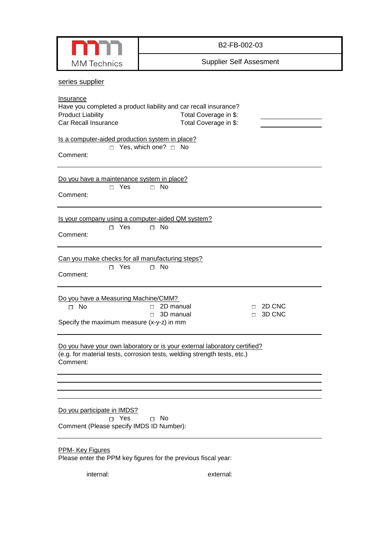|                                                                                                   | B2-FB-002-03                                                                                                                                          |  |  |  |  |  |  |  |  |  |
|---------------------------------------------------------------------------------------------------|-------------------------------------------------------------------------------------------------------------------------------------------------------|--|--|--|--|--|--|--|--|--|
| <b>MM</b> Technics                                                                                | <b>Supplier Self Assesment</b>                                                                                                                        |  |  |  |  |  |  |  |  |  |
| series supplier                                                                                   |                                                                                                                                                       |  |  |  |  |  |  |  |  |  |
| <b>Insurance</b><br><b>Product Liability</b><br>Car Recall Insurance                              | Have you completed a product liability and car recall insurance?<br>Total Coverage in \$:<br>Total Coverage in \$:                                    |  |  |  |  |  |  |  |  |  |
| Is a computer-aided production system in place?<br>Comment:                                       | $\Box$ Yes, which one? $\Box$ No                                                                                                                      |  |  |  |  |  |  |  |  |  |
| Do you have a maintenance system in place?<br>$\Box$ Yes<br>Comment:                              | $\Box$ No                                                                                                                                             |  |  |  |  |  |  |  |  |  |
| Is your company using a computer-aided QM system?<br>$\Box$ Yes<br>Comment:                       | $\square$ No                                                                                                                                          |  |  |  |  |  |  |  |  |  |
| Can you make checks for all manufacturing steps?<br>$\Box$ Yes<br>Comment:                        | No<br>п                                                                                                                                               |  |  |  |  |  |  |  |  |  |
| Do you have a Measuring Machine/CMM?<br>$\square$ No<br>Specify the maximum measure (x-y-z) in mm | 2D CNC<br>2D manual<br>$\Box$<br>П<br>3D manual<br>3D CNC<br>$\Box$<br>$\Box$                                                                         |  |  |  |  |  |  |  |  |  |
| Comment:                                                                                          | Do you have your own laboratory or is your external laboratory certified?<br>(e.g. for material tests, corrosion tests, welding strength tests, etc.) |  |  |  |  |  |  |  |  |  |
|                                                                                                   |                                                                                                                                                       |  |  |  |  |  |  |  |  |  |
| Do you participate in IMDS?<br>∩ Yes<br>Comment (Please specify IMDS ID Number):                  | $\sqcap$ No                                                                                                                                           |  |  |  |  |  |  |  |  |  |
| PPM- Key Figures                                                                                  | Please enter the PPM key figures for the previous fiscal year:                                                                                        |  |  |  |  |  |  |  |  |  |
| internal:                                                                                         | external:                                                                                                                                             |  |  |  |  |  |  |  |  |  |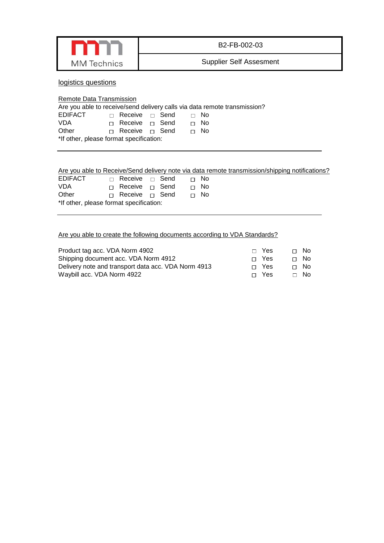

B2-FB-002-03

Supplier Self Assesment

logistics questions

| Remote Data Transmission                                                  |  |                            |  |  |  |  |             |  |  |  |
|---------------------------------------------------------------------------|--|----------------------------|--|--|--|--|-------------|--|--|--|
| Are you able to receive/send delivery calls via data remote transmission? |  |                            |  |  |  |  |             |  |  |  |
| EDIFACT                                                                   |  | $\Box$ Receive $\Box$ Send |  |  |  |  | ⊟ No        |  |  |  |
| VDA                                                                       |  | □ Receive □ Send           |  |  |  |  | $\sqcap$ No |  |  |  |
| Other                                                                     |  | □ Receive □ Send           |  |  |  |  | $\sqcap$ No |  |  |  |
| *If other, please format specification:                                   |  |                            |  |  |  |  |             |  |  |  |
|                                                                           |  |                            |  |  |  |  |             |  |  |  |
|                                                                           |  |                            |  |  |  |  |             |  |  |  |

## Are you able to Receive/Send delivery note via data remote transmission/shipping notifications?

| <b>EDIFACT</b>                          |  | $\Box$ Receive $\Box$ Send |  |  |  | ∩ No |  |
|-----------------------------------------|--|----------------------------|--|--|--|------|--|
| <b>VDA</b>                              |  | □ Receive □ Send           |  |  |  | ⊓ No |  |
| Other                                   |  | □ Receive □ Send           |  |  |  | ∩ No |  |
| *If other, please format specification: |  |                            |  |  |  |      |  |

### Are you able to create the following documents according to VDA Standards?

| Product tag acc. VDA Norm 4902                      | $\Box$ Yes | ⊓ No |
|-----------------------------------------------------|------------|------|
| Shipping document acc. VDA Norm 4912                | ∩ Yes      | ⊓ No |
| Delivery note and transport data acc. VDA Norm 4913 | ∩ Yes      | ⊓ No |
| Waybill acc. VDA Norm 4922                          | $\Box$ Yes | ⊟ No |